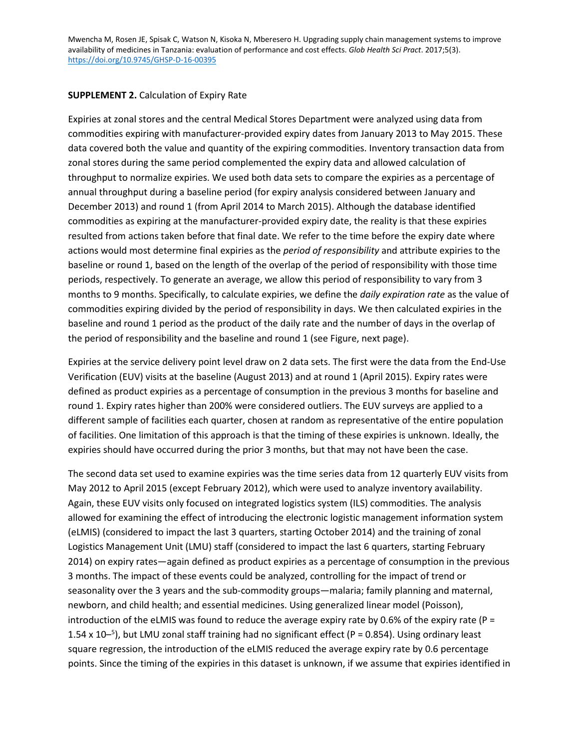Mwencha M, Rosen JE, Spisak C, Watson N, Kisoka N, Mberesero H. Upgrading supply chain management systems to improve availability of medicines in Tanzania: evaluation of performance and cost effects. *Glob Health Sci Pract*. 2017;5(3). <https://doi.org/10.9745/GHSP-D-16-00395>

## **SUPPLEMENT 2.** Calculation of Expiry Rate

Expiries at zonal stores and the central Medical Stores Department were analyzed using data from commodities expiring with manufacturer-provided expiry dates from January 2013 to May 2015. These data covered both the value and quantity of the expiring commodities. Inventory transaction data from zonal stores during the same period complemented the expiry data and allowed calculation of throughput to normalize expiries. We used both data sets to compare the expiries as a percentage of annual throughput during a baseline period (for expiry analysis considered between January and December 2013) and round 1 (from April 2014 to March 2015). Although the database identified commodities as expiring at the manufacturer-provided expiry date, the reality is that these expiries resulted from actions taken before that final date. We refer to the time before the expiry date where actions would most determine final expiries as the *period of responsibility* and attribute expiries to the baseline or round 1, based on the length of the overlap of the period of responsibility with those time periods, respectively. To generate an average, we allow this period of responsibility to vary from 3 months to 9 months. Specifically, to calculate expiries, we define the *daily expiration rate* as the value of commodities expiring divided by the period of responsibility in days. We then calculated expiries in the baseline and round 1 period as the product of the daily rate and the number of days in the overlap of the period of responsibility and the baseline and round 1 (see Figure, next page).

Expiries at the service delivery point level draw on 2 data sets. The first were the data from the End-Use Verification (EUV) visits at the baseline (August 2013) and at round 1 (April 2015). Expiry rates were defined as product expiries as a percentage of consumption in the previous 3 months for baseline and round 1. Expiry rates higher than 200% were considered outliers. The EUV surveys are applied to a different sample of facilities each quarter, chosen at random as representative of the entire population of facilities. One limitation of this approach is that the timing of these expiries is unknown. Ideally, the expiries should have occurred during the prior 3 months, but that may not have been the case.

The second data set used to examine expiries was the time series data from 12 quarterly EUV visits from May 2012 to April 2015 (except February 2012), which were used to analyze inventory availability. Again, these EUV visits only focused on integrated logistics system (ILS) commodities. The analysis allowed for examining the effect of introducing the electronic logistic management information system (eLMIS) (considered to impact the last 3 quarters, starting October 2014) and the training of zonal Logistics Management Unit (LMU) staff (considered to impact the last 6 quarters, starting February 2014) on expiry rates—again defined as product expiries as a percentage of consumption in the previous 3 months. The impact of these events could be analyzed, controlling for the impact of trend or seasonality over the 3 years and the sub-commodity groups—malaria; family planning and maternal, newborn, and child health; and essential medicines. Using generalized linear model (Poisson), introduction of the eLMIS was found to reduce the average expiry rate by 0.6% of the expiry rate (P = 1.54 x 10<sup>-5</sup>), but LMU zonal staff training had no significant effect (P = 0.854). Using ordinary least square regression, the introduction of the eLMIS reduced the average expiry rate by 0.6 percentage points. Since the timing of the expiries in this dataset is unknown, if we assume that expiries identified in